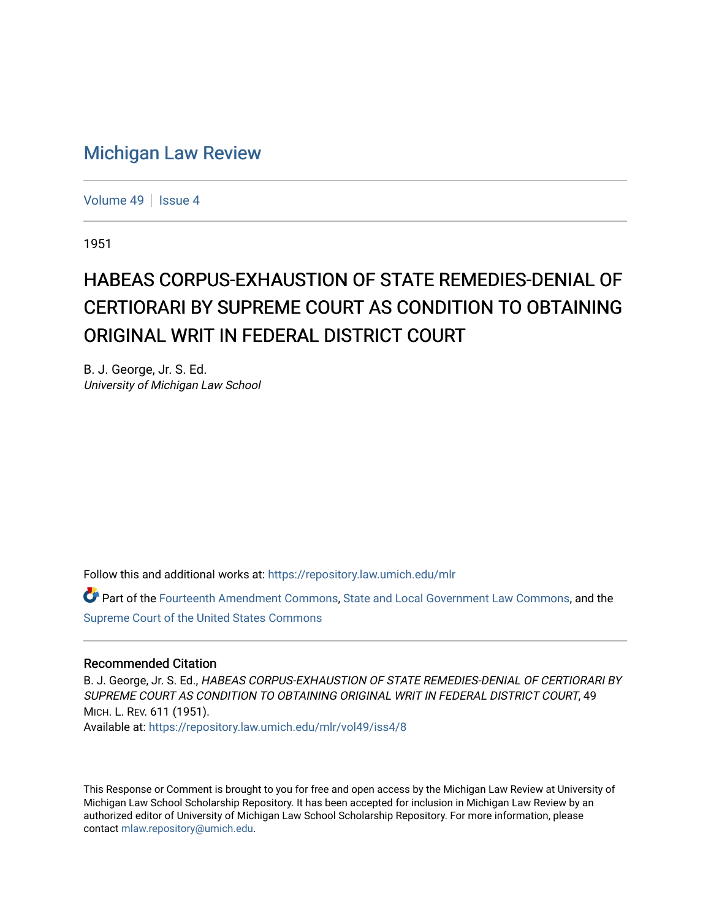## [Michigan Law Review](https://repository.law.umich.edu/mlr)

[Volume 49](https://repository.law.umich.edu/mlr/vol49) | [Issue 4](https://repository.law.umich.edu/mlr/vol49/iss4)

1951

# HABEAS CORPUS-EXHAUSTION OF STATE REMEDIES-DENIAL OF CERTIORARI BY SUPREME COURT AS CONDITION TO OBTAINING ORIGINAL WRIT IN FEDERAL DISTRICT COURT

B. J. George, Jr. S. Ed. University of Michigan Law School

Follow this and additional works at: [https://repository.law.umich.edu/mlr](https://repository.law.umich.edu/mlr?utm_source=repository.law.umich.edu%2Fmlr%2Fvol49%2Fiss4%2F8&utm_medium=PDF&utm_campaign=PDFCoverPages) 

Part of the [Fourteenth Amendment Commons](http://network.bepress.com/hgg/discipline/1116?utm_source=repository.law.umich.edu%2Fmlr%2Fvol49%2Fiss4%2F8&utm_medium=PDF&utm_campaign=PDFCoverPages), [State and Local Government Law Commons,](http://network.bepress.com/hgg/discipline/879?utm_source=repository.law.umich.edu%2Fmlr%2Fvol49%2Fiss4%2F8&utm_medium=PDF&utm_campaign=PDFCoverPages) and the [Supreme Court of the United States Commons](http://network.bepress.com/hgg/discipline/1350?utm_source=repository.law.umich.edu%2Fmlr%2Fvol49%2Fiss4%2F8&utm_medium=PDF&utm_campaign=PDFCoverPages) 

#### Recommended Citation

B. J. George, Jr. S. Ed., HABEAS CORPUS-EXHAUSTION OF STATE REMEDIES-DENIAL OF CERTIORARI BY SUPREME COURT AS CONDITION TO OBTAINING ORIGINAL WRIT IN FEDERAL DISTRICT COURT, 49 MICH. L. REV. 611 (1951).

Available at: [https://repository.law.umich.edu/mlr/vol49/iss4/8](https://repository.law.umich.edu/mlr/vol49/iss4/8?utm_source=repository.law.umich.edu%2Fmlr%2Fvol49%2Fiss4%2F8&utm_medium=PDF&utm_campaign=PDFCoverPages)

This Response or Comment is brought to you for free and open access by the Michigan Law Review at University of Michigan Law School Scholarship Repository. It has been accepted for inclusion in Michigan Law Review by an authorized editor of University of Michigan Law School Scholarship Repository. For more information, please contact [mlaw.repository@umich.edu](mailto:mlaw.repository@umich.edu).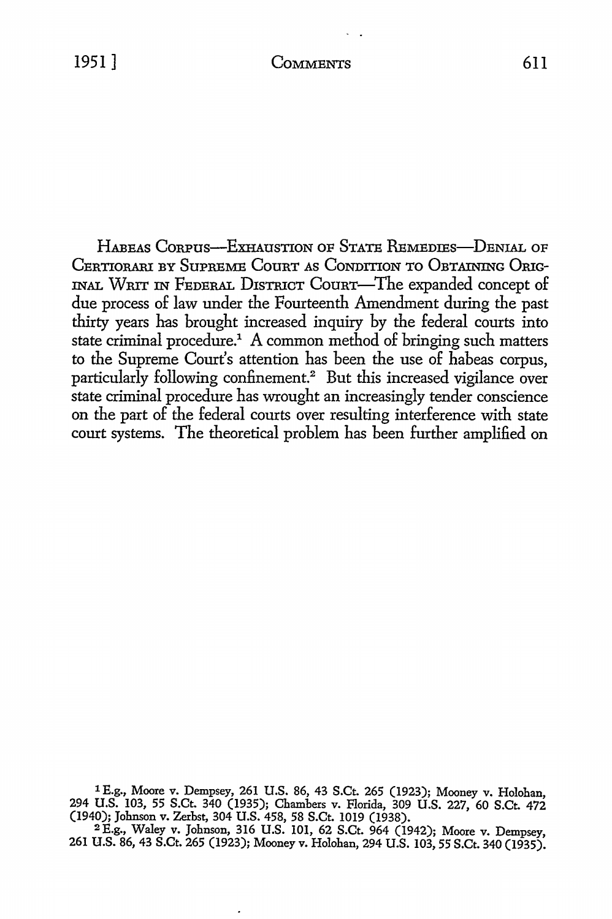HABEAS CORPUS-EXHAUSTION OF STATE REMEDIES-DENIAL OF CERTIORARI BY SuPREME CouRT As CoNDITION To OBTAINING ORIG-INAL WRIT IN FEDERAL D1sTRICT CouRT-The expanded concept of due process of law under the Fourteenth Amendment during the past thirty years has brought increased inquiry by the federal courts into state criminal procedure.<sup>1</sup> A common method of bringing such matters to the Supreme Court's attention has been the use of habeas corpus, particularly following confinement.<sup>2</sup> But this increased vigilance over state criminal procedure has wrought an increasingly tender conscience on the part of the federal courts over resulting interference with state court systems. The theoretical problem has been further amplified on

1 E.g., Moore v. Dempsey, 261 U.S. 86, 43 S.Ct. 265 (1923); Mooney v. Holohan, 294 U.S. 103, 55 S.Ct. 340 (1935); Chambers v. Florida, 309 U.S. 227, 60 S.Ct. 472 (1940); Johnson v. Zerbst, 304 U.S. 458, 58 S.Ct. 1019 (1938).

<sup>2</sup>E.g., Waley v. Johnson, 316 U.S. 101, 62 S.Ct. 964 (1942); Moore v. Dempsey, 261 U.S. 86, 43 S.Ct. 265 (1923); Mooney v. Holohan, 294 U.S. 103, 55 S.Ct. 340 (1935).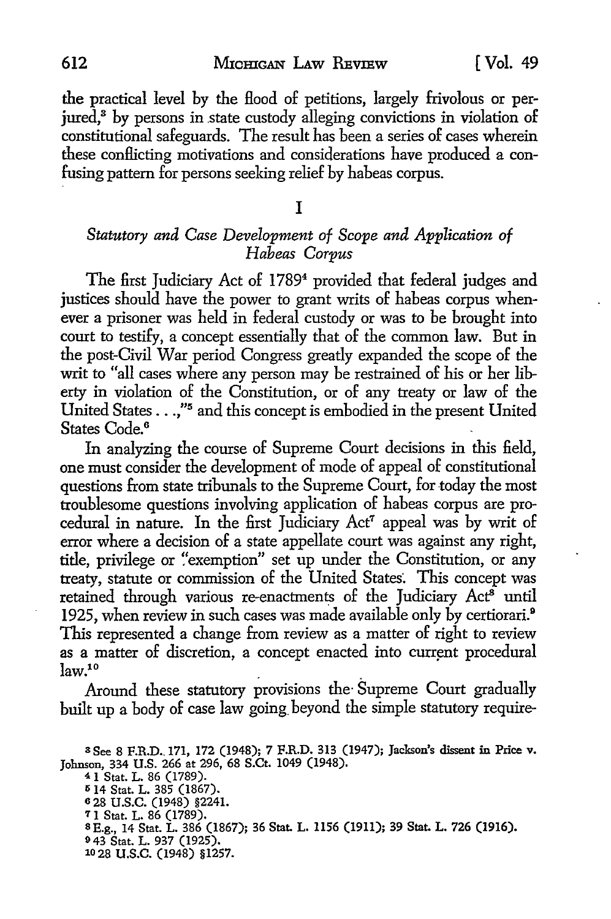the practical level by the flood of petitions, largely frivolous or perjured,<sup>3</sup> by persons in state custody alleging convictions in violation of constitutional safeguards. The result has been a series of cases wherein these conflicting motivations and considerations have produced a confusing pattern for persons seeking relief by habeas corpus.

#### I

### *Statutory and Case Development of Scope and Application of Habeas Corpus*

The first Judiciary Act of 1789<sup>4</sup> provided that federal judges and justices should have the power to grant writs of habeas corpus whenever a prisoner was held in federal custody or was to be brought into court to testify, a concept essentially that of the common law. But in the post-Civil War period Congress greatly expanded the scope of the writ to "all cases where any person may be restrained of his or her liberty in violation of the Constitution, or of any treaty or law of the United States ... ,"5 and this concept is embodied in the present United States Code. <sup>6</sup>

In analyzing the course of Supreme Court decisions in this field, one must consider the development of mode of appeal of constitutional questions from state tribunals to the Supreme Court, for today the most troublesome questions involving application of habeas corpus are procedural in nature. In the first Judiciary Act<sup>7</sup> appeal was by writ of error where a decision of a state appellate court was against any right, title, privilege or "exemption" set up under the Constitution, or any treaty, statute or commission of the United States: This concept was retained through various re-enactments of the Judiciary  $Act^{\tilde{s}}$  until 1925, when review in such cases was made available only by certiorari.<sup>9</sup> This represented a change from review as a matter of right to review as a matter of discretion, a concept enacted into current procedural  $law<sup>10</sup>$ 

Around these statutory provisions the· Supreme Court gradually built up a body of case law going beyond the simple statutory require-

a See 8 F.R.D .. 171, 172 (1948); 7 F.R.D. 313 (1947); Jackson's dissent in Price v. Johnson, 334 U.S. 266 at 296, 68 S.Ct. 1049 (1948). <sup>4</sup>1 Stat. L. 86 (1789).

Ii 14 Stat. L. 385 (1867). <sup>6</sup>28 u.s.c. (1948) §2241. 7 1 Stat. L. 86 (1789).<br>8 E.g., 14 Stat. L. 386 (1867); 36 Stat. L. 1156 (1911); 39 Stat. L. 726 (1916). 9 43 Stat. L. 937 (1925). 10 28 u.s.c. (1948) §1257.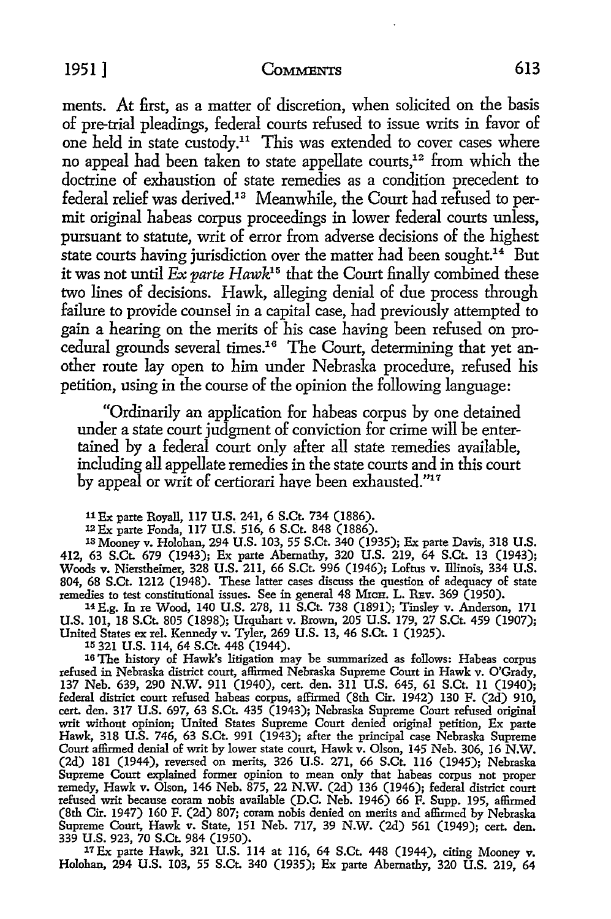#### 1951 ] COMMENTS 613

ments. At first, as a matter of discretion, when solicited on the basis of pre-trial pleadings, federal courts refused to issue writs in favor of one held in state custody.<sup>11</sup> This was extended to cover cases where no appeal had been taken to state appellate courts,<sup>12</sup> from which the doctrine of exhaustion of state remedies as a condition precedent to federal relief was derived.13 Meanwhile, the Court had refused to permit original habeas corpus proceedings in lower federal courts unless, pursuant to statute, writ of error from adverse decisions of the highest state courts having jurisdiction over the matter had been sought.<sup>14</sup> But it was not until *Ex parte Hawk15* that the Court finally combined these two lines of decisions. Hawk, alleging denial of due process through failure to provide counsel in a capital case, had previously attempted to gain a hearing on the merits of his case having been refused on procedural grounds several times.16 The Court, determining that yet another route lay open to him under Nebraska procedure, refused his petition, using in the course of the opinion the following language:

"Ordinarily an application for habeas corpus by one detained under a state court judgment of conviction for crime will be entertained by a federal court only after all state remedies available, including all appellate remedies in the state courts and in this court by appeal or writ of certiorari have been exhausted."<sup>17</sup>

11Ex parte Royall, 117 U.S. 241, 6 S.Ct. 734 (1886).

12Ex parte Fonda, 117 U.S. 516, 6 S.Ct. 848 (1886).

13 Mooney v. Holohan, 294 U.S. 103, 55 S.Ct. 340 (1935); Ex parte Davis, 318 U.S. 412, 63 S.Ct. 679 (1943); Ex parte Abernathy, 320 U.S. 219, 64 S.Ct. 13 (1943); Woods v. Nierstheimer, 328 U.S. 211, 66 S.Ct. 996 (1946); Loftus v. Illinois, 334 U.S. 804, 68 S.Ct. 1212 (1948). These latter cases discuss the question of adequacy of state remedies to test constitutional issues. See in general 48 MxcH. L. REv. 369 (1950).

14£,g. In re Wood, 140 U.S. 278, 11 S.Ct. 738 (1891); Tinsley v. Anderson, 171 U.S. 101, 18 S.Ct. 805 (1898); Urquhart v. Brown, 205 U.S. 179, 27 S.Ct. 459 (1907); United States ex rel. Kennedy v. Tyler, 269 U.S. 13, 46 S.Ct. 1 (1925).

1r; 321 U.S. 114, 64 S.Ct. 448 (1944).

16 The history of Hawk's litigation may be summarized as follows: Habeas corpus refused in Nebraska district court, affirmed Nebraska Supreme Court in Hawk v. O'Grady, 137 Neb. 639, 290 N.W. 9ll (1940), cert. den. 311 U.S. 645, 61 S.Ct. II (1940); federal district court refused habeas corpus, affirmed (8th Cir. 1942) 130 F. (2d) 910, cert. den. 317 U.S. 697, 63 S.Ct. 435 (1943); Nebraska Supreme Court refused original writ without opinion; United States Supreme Court denied original petition, Ex parte Hawk, 318 U.S. 746, 63 S.Ct. 991 (1943); after the principal case Nebraska Supreme Court affirmed denial of writ by lower state court, Hawk v. Olson, 145 Neb. 306, 16 N.W. (2d) 181 (1944), reversed on merits, 326 U.S. 271, 66 S.Ct. 116 (1945); Nebraska Supreme Court explained former opinion to mean only that habeas corpus not proper remedy, Hawk v. Olson, 146 Neb. 875, 22 N.W. (2d) 136 (1946); federal district court refused writ because coram nobis available (D.C. Neb. 1946) 66 F. Supp. 195, affirmed (8th Cir. 1947) 160 F. (2d) 807; coram nobis denied on merits and affirmed by Nebraska Supreme Court, Hawk v. State, 151 Neb. 717, 39 N.W. (2d) 561 (1949); cert. den. 339 U.S. 923, 70 S.Ct. 984 (1950).

17Ex parte Hawk, 321 U.S. ll4 at 116, 64 S.Ct. 448 (1944), citing Mooney v. Holohan, 294 U.S. 103, 55 S.Ct. 340 (1935); Ex parte Abernathy, 320 U.S. 219, 64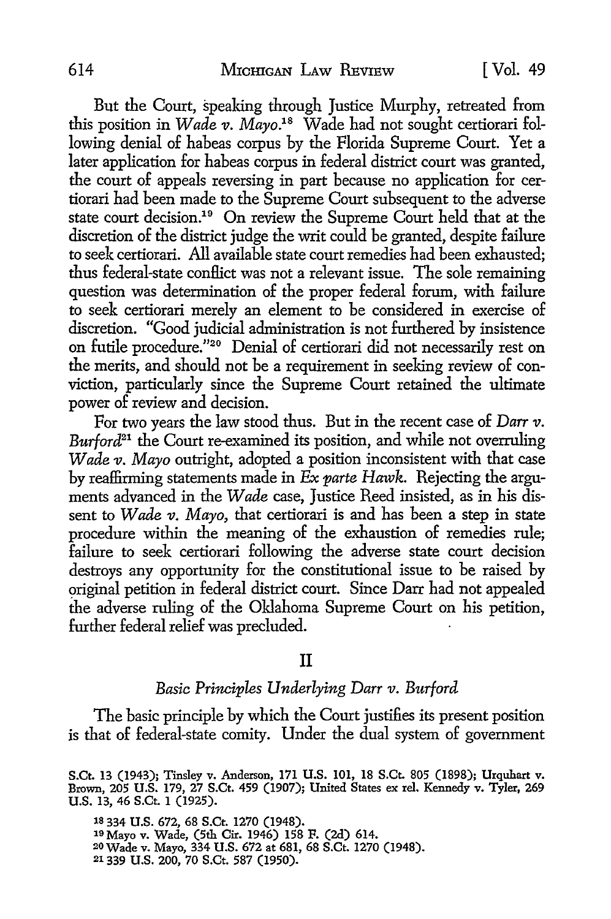But the Court, speaking through Justice Murphy, retreated from this position in *Wade v. Mayo.18* Wade had not sought certiorari following denial of habeas corpus by the Florida Supreme Court. Yet a later application for habeas corpus in federal district court was granted, the court of appeals reversing in part because no application for certiorari had been made to the Supreme Court subsequent to the adverse state court decision.19 On review the Supreme Court held that at the discretion of the district judge the writ could be granted, despite failure to seek certiorari. All available state court remedies had been exhausted; thus federal-state conflict was not a relevant issue. The sole remaining question was determination of the proper federal forum, with failure to seek certiorari merely an element to be considered in exercise of discretion. "Good judicial administration is not furthered by insistence on futile procedure."20 Denial of certiorari did not necessarily rest on the merits, and should not be a requirement in seeking review of conviction, particularly since the Supreme Court retained the ultimate power of review and decision.

For two years the law stood thus. But in the recent case of *Darr v. Burford21* the Court re-examined its position, and while not overruling *Wade v. Mayo* outright, adopted a position inconsistent with that case by reaffirming statements made in *Ex parte Hawk.* Rejecting the arguments advanced in the *Wade* case, Justice Reed insisted, as in his dissent to *Wade v. Mayo,* that certiorari is and has been a step in state procedure within the meaning of the exhaustion of remedies rule; failure to seek certiorari following the adverse state court decision destroys any opportunity for the constitutional issue to be raised by original petition in federal district court. Since Darr had not appealed the adverse ruling of the Oklahoma Supreme Court on his petition, further federal relief was precluded.

#### II

#### *Basic Principles Underlying Darr v. Burford*

The basic principle by which the Court justifies its present position is that of federal-state comity. Under the dual system of government

1s 334 U.S. 672, 68 S.Ct. 1270 (1948). 19 Mayo v. Wade, (5th Cir. 1946) 158 F. (2d) 614. 2owade v. Mayo, 334 U.S. 672 at 681, 68 S.Ct. 1270 (1948). 21339 U.S. 200, 70 S.Ct. 587 (1950).

S.Ct. 13 (1943); Tinsley v. Anderson, 171 U.S. 101, 18 S.Ct. 805 (1898); Urquhart v. Brown, 205 U.S. 179, 27 S.Ct. 459 (1907); United States ex rel. Kennedy v. Tyler, 269 U.S. 13, 46 S.Ct. 1 (1925).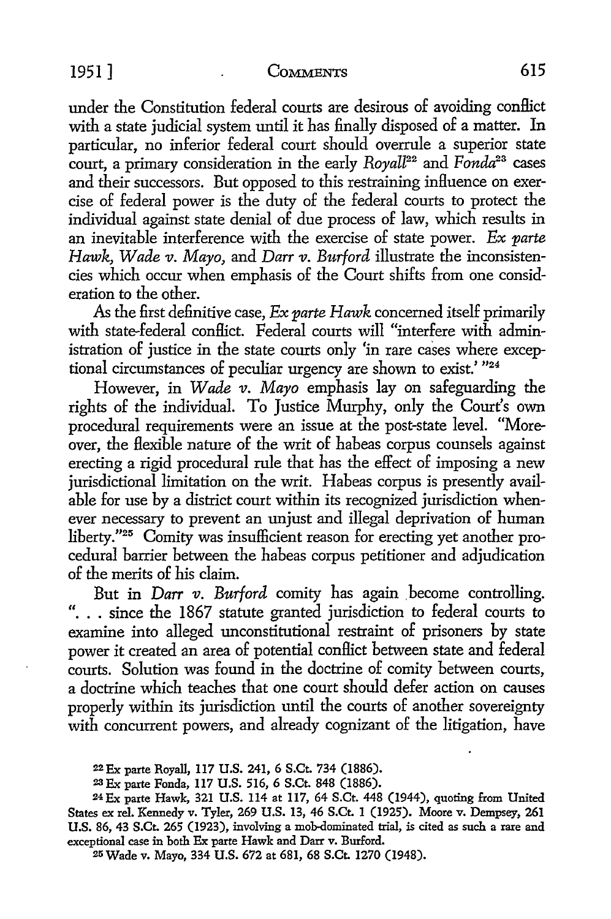under the Constitution federal courts are desirous of avoiding conflict with a state judicial system until it has finally disposed of a matter. In particular, no inferior federal court should overrule a superior state court, a primary consideration in the early *Royall22* and *Fonda2<sup>3</sup>*cases and their successors. But opposed to this restraining influence on exercise of federal power is the duty of the federal courts to protect the individual against state denial of due process of law, which results in an inevitable interference with the exercise of state power. *Ex parte Hawk, Wade v. Mayo, and Darr v. Burford illustrate the inconsisten*cies which occur when emphasis of the Court shifts from one consideration to the other.

As the first definitive case, *Ex parte Hawk* concerned itself primarily with state-federal conflict. Federal courts will "interfere with administration of justice in the state courts only 'in rare cases where exceptional circumstances of peculiar urgency are shown to exist.' "24

However, in *Wade v. Mayo* emphasis lay on safeguarding the rights of the individual. To Justice Murphy, only the Court's own procedural requirements were an issue at the post-state level. "Moreover, the flexible nature of the writ of habeas corpus counsels against erecting a rigid procedural rule that has the effect of imposing a new jurisdictional limitation on the writ. Habeas corpus is presently available for use by a district court within its recognized jurisdiction whenever necessary to prevent an unjust and illegal deprivation of human liberty."25 Comity was insufficient reason for erecting yet another procedural barrier between the habeas corpus petitioner and adjudication of the merits of his claim.

But in *Darr v. Burford* comity has again become controlling. ". . . since the 1867 statute granted jurisdiction to federal courts to examine into alleged unconstitutional restraint of prisoners by state power it created an area of potential conflict between state and federal courts. Solution was found in the doctrine of comity between courts, a doctrine which teaches that one court should defer action on causes properly within its jurisdiction until the courts of another sovereignty with concurrent powers, and already cognizant of the litigation, have

22Ex parte Royall, 117 U.S. 241, 6 S.Ct. 734 (1886).

23 Ex parte Fonda, 117 U.S. 516, 6 S.Ct. 848 (1886).

24Ex parte Hawk, 321 U.S. 114 at 117, 64 S.Ct. 448 (1944), quoting from United States ex rel. Kennedy v. Tyler, 269 U.S. 13, 46 S.Ct. 1 (1925). Moore v. Dempsey, **261**  U.S. 86, 43 S.Ct. 265 (1923), involving a mob-dominated trial, is cited as such a rare and exceptional case in both Ex parte Hawk and Darr v. Burford.

21, Wade v. Mayo, 334 U.S. 672 at 681, 68 S.Ct. 1270 (1948).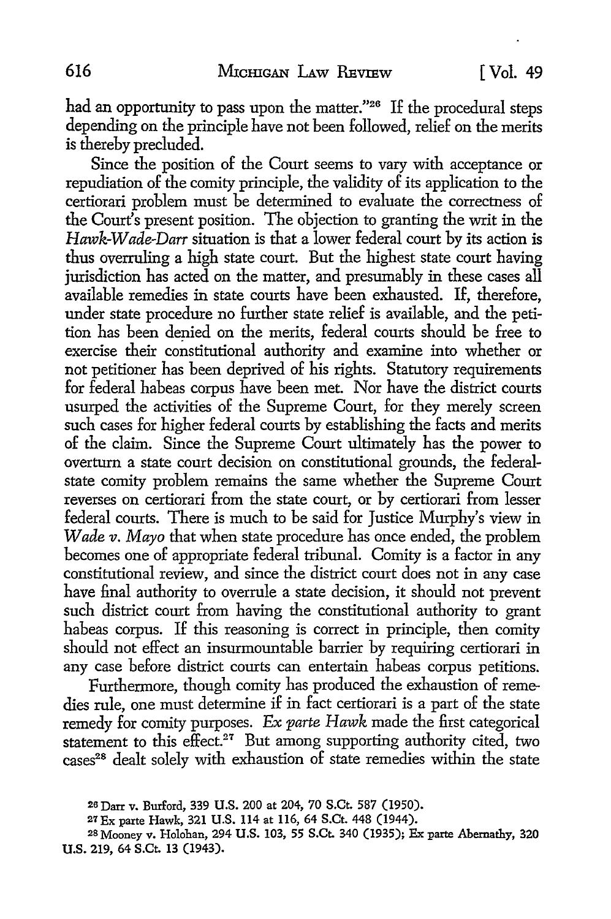had an opportunity to pass upon the matter."<sup>26</sup> If the procedural steps depending on the principle have not been followed, relief on the merits is thereby precluded.

Since the position of the Court seems to vary with acceptance or repudiation of the comity principle, the validity of its application to the certiorari problem must be determined to evaluate the correctness of the Court's present position. The objection to granting the writ in the *Hawk-Wade-Darr* situation is that a lower federal court by its action is thus overruling a high state court. But the highest state court having jurisdiction has acted on the matter, and presumably in these cases all available remedies in state courts have been exhausted. If, therefore, under state procedure no further state relief is available, and the petition has been denied on the merits, federal courts should be free to exercise their constitutional authority and examine into whether or not petitioner has been deprived of his rights. Statutory requirements for federal habeas corpus have been met. Nor have the district courts usurped the activities of the Supreme Court, for they merely screen such cases for higher federal courts by establishing the facts and merits of the claim. Since the Supreme Court ultimately has the power to overturn a state court decision on constitutional grounds, the federalstate comity problem remains the same whether the Supreme Court reverses on certiorari from the state court, or by certiorari from lesser federal courts. There is much to be said for Justice Murphy's view in *Wade v. Mayo* that when state procedure has once ended, the problem becomes one of appropriate federal tribunal. Comity is a factor in any constitutional review, and since the district court does not in any case have final authority to overrule a state decision, it should not prevent such district court from having the constitutional authority to grant habeas corpus. If this reasoning is correct in principle, then comity should not effect an insurmountable barrier by requiring certiorari in any case before district courts can entertain habeas corpus petitions.

Furthermore, though comity has produced the exhaustion of remedies rule, one must determine if in fact certiorari is a part of the state remedy for comity purposes. *Ex parte Hawk* made the first categorical statement to this effect.<sup>27</sup> But among supporting authority cited, two cases<sup>28</sup> dealt solely with exhaustion of state remedies within the state

<sup>2</sup>a Darr v. Burford, 339 U.S. 200 at 204, 70 S.Ct. 587 (1950).

<sup>27</sup>Ex parte Hawk, 321 U.S. 114 at 116, 64 S.Ct. 448 (1944).

<sup>28</sup> Mooney v. Holohan, 294 U.S. 103, 55 S.Ct. 340 (1935); Ex parte Abernathy, 320 U.S. 219, 64 S.Ct. 13 (1943).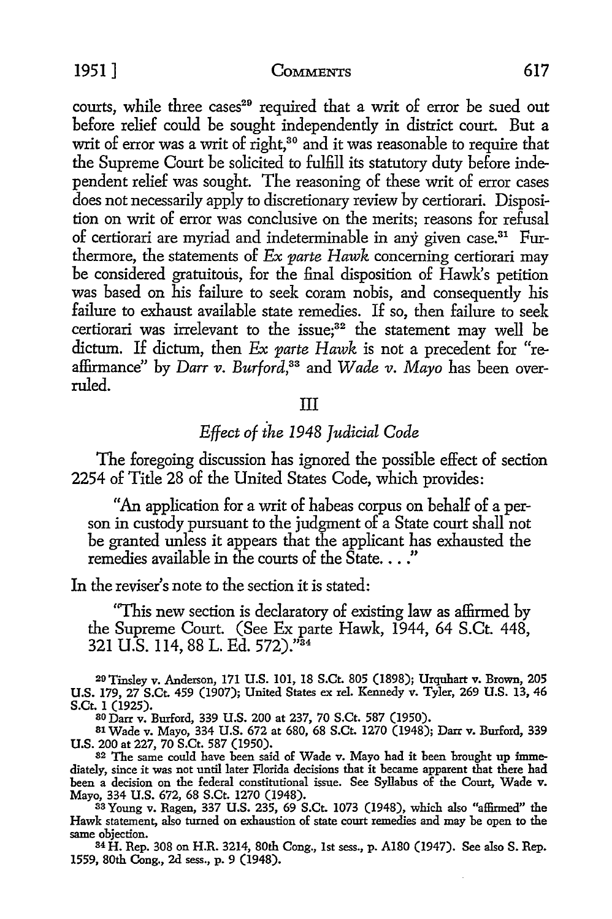1951] COMMENTS 617

courts, while three cases<sup>29</sup> required that a writ of error be sued out before relief could be sought independently in district court. But a writ of error was a writ of right,<sup>30</sup> and it was reasonable to require that the Supreme Court be solicited to fulfill its statutory duty before independent relief was sought. The reasoning of these writ of error cases does not necessarily apply to discretionary review by certiorari. Disposition on writ of error was conclusive on the merits; reasons for refusal of certiorari are myriad and indeterminable in any given case. 31 Furthermore, the statements of *Ex parte Hawk* concerning certiorari may be considered gratuitous, for the final disposition of Hawk's petition was based on his failure to seek coram nobis, and consequently his failure to exhaust available state remedies. If so, then failure to seek certiorari was irrelevant to the issue; $32$  the statement may well be dictum. If dictum, then *Ex parte Hawk* is not a precedent for "reaffirmance" by *Darr v. Burford*<sup>33</sup> and *Wade v. Mayo* has been overruled.

#### III

#### *Effect of the 1948 Judicial Code*

The foregoing discussion has ignored the possible effect of section 2254 of Title 28 of the United States Code, which provides:

"An application for a writ of habeas corpus on behalf of a person in custody pursuant to the judgment of a State court shall not be granted unless it appears that the applicant has exhausted the remedies available in the courts of the  $\text{State}$ ..."

In the reviser's note to the section it is stated:

"This new section is declaratory of existing law as affirmed by the Supreme Court. (See Ex parte Hawk, 1944, 64 S.Ct. 448, 321 U.S. 114, 88 L. Ed. 572)."<sup>34</sup>

29Tinsley v. Anderson, 171 U.S. 101, 18 S.Ct. 805 (1898); Urquhart v. Brown, 205 U.S. 179, 27 S.Ct. 459 (1907); United States ex rel. Kennedy v. Tyler, 269 U.S. 13, 46 S.Ct. 1 (1925).<br><sup>30</sup> Darr v. Burford, 339 U.S. 200 at 237, 70 S.Ct. 587 (1950).

s1 Wade v. Mayo, 334 U.S. 672 at 680, 68 S.Ct. 1270 (1948); Darr v. Burford, 339 **U.S.** 200 at 227, 70 S.Ct. 587 (1950).

32 The same could have been said of Wade v. Mayo had it been brought up immediately, since it was not until later Florida decisions that it became apparent that there had been a decision on the federal constitutional issue. See Syllabus of the Court, Wade v. Mayo, 334 U.S. 672, 68 S.Ct. 1270 (1948).

33Young v. Ragen, 337 U.S. 235, 69 S.Ct. 1073 (1948), which also "affirmed" the Hawk statement, also turned on exhaustion of state court remedies and may be open to the same objection.

<sup>34</sup>H. Rep. 308 on H.R. 3214, 80th Cong., 1st sess., p. A180 (1947). See also S. Rep. 1559, 80th Cong., 2d sess., p. 9 (1948).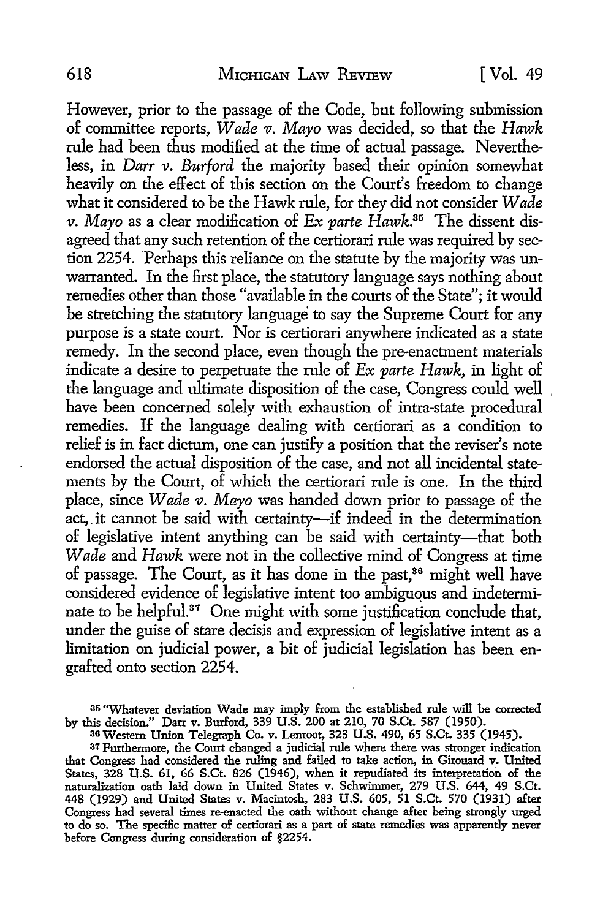However, prior to the passage of the Code, but following submission of committee reports, *Wade v. Mayo* was decided, so that the *Hawk*  rule had been thus modified at the time of actual passage. Nevertheless, in *Darr v. Burford* the majority based their opinion somewhat: heavily on the effect of this section on the Court's freedom to change what it considered to be the Hawk rule, for they did not consider *Wade v. Mayo* as a clear modification of *Ex parte Hawk*.<sup>35</sup> The dissent disagreed that any such retention of the certiorari rule was required by section 2254. Perhaps this reliance on the statute by the majority was unwarranted. In the first place, the statutory language says nothing about remedies other than those "available in the courts of the State"; it would be stretching the statutory language to say the Supreme Court for any purpose is a state court. Nor is certiorari anywhere indicated as a state remedy. In the second place, even though the pre-enactment materials indicate a desire to perpetuate the rule of *Ex parte Hawk,* in light of the language and ultimate disposition of the case, Congress could well have been concerned solely with exhaustion of intra-state procedural remedies. If the language dealing with certiorari as a condition to relief is in fact dictum, one can justify a position that the reviser's note endorsed the actual disposition of the case, and not all incidental statements by the Court, of which the certiorari rule is one. In the third place, since *Wade v. Mayo* was handed down prior to passage of the act, it cannot be said with certainty-if indeed in the determination of legislative intent anything can be said with certainty-that both *Wade* and *Hawk* were not in the collective mind of Congress at time of passage. The Court, as it has done in the past,<sup>36</sup> might well have considered evidence of legislative intent too ambiguous and indeterminate to be helpful.<sup>37</sup> One might with some justification conclude that, under the guise of stare decisis and expression of legislative intent as a limitation on judicial power, a bit of judicial legislation has been engrafted onto section 2254.

35 "Whatever deviation Wade may imply from the established rule will be corrected by this decision." Darr v. Burford, 339 U.S. 200 at 210, 70 S.Ct. 587 (1950).

86 Western Union Telegraph Co. v. Lemoot, 323 U.S. 490, 65 S.Ct. 335 (1945).

87 Furthermore, the Court changed a judicial rule where there was stronger indication that Congress had considered the ruling and failed to take action, in Girouard v. United States, 328 U.S. 61, 66 S.Ct. 826 (1946), when it repudiated its interpretation of the naturalization oath laid down in United States v. Schwimmer, 279 U.S. 644, 49 S.Ct. 448 (1929) and United States v. Macintosh, 283 U.S. 605, 51 S.Ct. 570 (1931) after Congress had several times re-enacted the oath without change after being strongly urged to do so. The specific matter of certiorari as a part of state remedies was apparently never before Congress during consideration of §2254.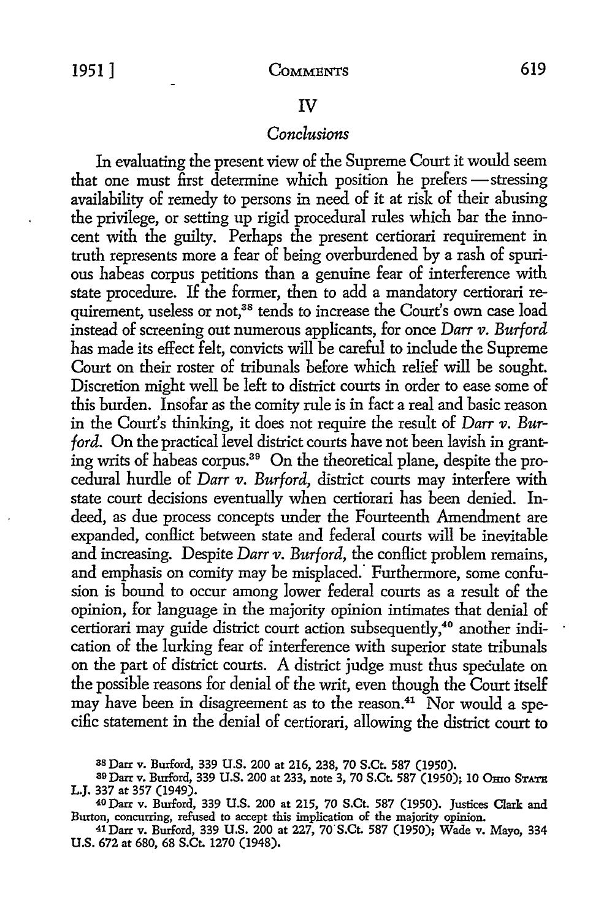619

#### IV

#### *Conclusions*

In evaluating the present view of the Supreme Court it would seem that one must first determine which position he prefers - stressing availability of remedy to persons in need of it at risk of their abusing the privilege, or setting up rigid procedural rules which bar the innocent with the guilty. Perhaps the present certiorari requirement in truth represents more a fear of being overburdened by a rash of spurious habeas corpus petitions than a genuine fear of interference with state procedure. If the former, then to add a mandatory certiorari requirement, useless or not,<sup>38</sup> tends to increase the Court's own case load instead of screening out numerous applicants, for once *Darr v. Burford*  has made its effect felt, convicts will be careful to include the Supreme Court on their roster of tribunals before which relief will be sought. Discretion might well be left to district courts in order to ease some of this burden. Insofar as the comity rule is in fact a real and basic reason in the Court's thinking, it does not require the result of *Darr v. Burford.* On the practical level district courts have not been lavish in granting writs of habeas corpus.39 On the theoretical plane, despite the procedural hurdle of *Darr v. Burford,* district courts may interfere with state court decisions eventually when certiorari has been denied. Indeed, as due process concepts under the Fourteenth Amendment are expanded, conllict between state and federal courts will be inevitable and increasing. Despite *Darr v. Burford*, the conflict problem remains, and emphasis on comity may be misplaced. Furthermore, some confusion is bound to occur among lower federal courts as a result of the opinion, for language in the majority opinion intimates that denial of certiorari may guide district court action subsequently,<sup>40</sup> another indication of the lurking fear of interference with superior state tribunals on the part of district courts. A district judge must thus speculate on the possible reasons for denial of the writ, even though the Court itself may have been in disagreement as to the reason.<sup>41</sup> Nor would a specific statement in the denial of certiorari, allowing the district court to

<sup>3</sup>s Darr v. Burford, 339 **U.S.** 200 at 216, 238, 70 **S.Ct.** 587 (1950).

<sup>39</sup> Darr v. Burford, 339 U.S. 200 at 233, note 3, 70 S.Ct. 587 (1950); 10 Omo STATE L.J. 337 at 357 (1949).

<sup>40</sup> Darr v. Burford, 339 U.S. 200 at 215, 70 S.Ct. 587 (1950). Justices Clark and Burton, concurring, refused to accept this implication of the majority opinion.

<sup>41</sup>Darr v. Burford, 339 U.S. 200 at 227, 7o·s.Ct. 587 (1950); Wade v. Mayo, 334 **U.S.** 672 at 680, 68 S.Ct. 1270 (1948).